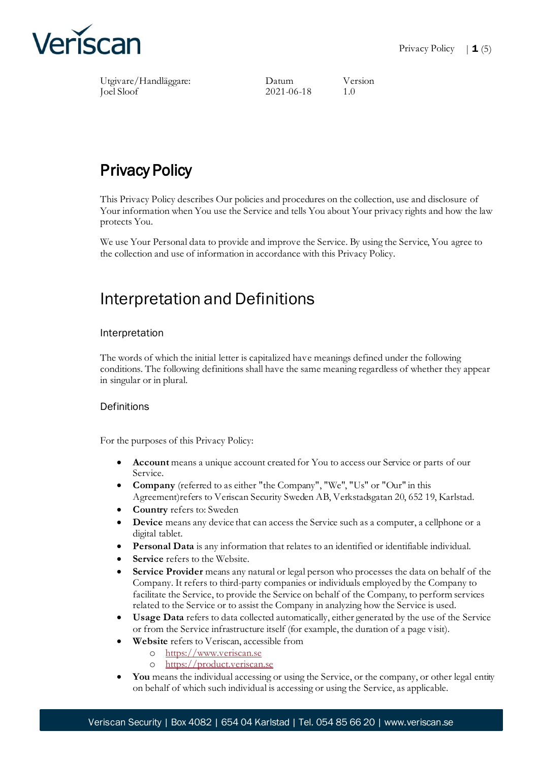

Utgivare/Handläggare: Datum Version Joel Sloof 2021-06-18 1.0

# Privacy Policy

This Privacy Policy describes Our policies and procedures on the collection, use and disclosure of Your information when You use the Service and tells You about Your privacy rights and how the law protects You.

We use Your Personal data to provide and improve the Service. By using the Service, You agree to the collection and use of information in accordance with this Privacy Policy.

# Interpretation and Definitions

#### Interpretation

The words of which the initial letter is capitalized have meanings defined under the following conditions. The following definitions shall have the same meaning regardless of whether they appear in singular or in plural.

#### **Definitions**

For the purposes of this Privacy Policy:

- **Account** means a unique account created for You to access our Service or parts of our Service.
- **Company** (referred to as either "the Company", "We", "Us" or "Our" in this Agreement)refers to Veriscan Security Sweden AB, Verkstadsgatan 20, 652 19, Karlstad.
- **Country** refers to: Sweden
- **Device** means any device that can access the Service such as a computer, a cellphone or a digital tablet.
- **Personal Data** is any information that relates to an identified or identifiable individual.
- **Service** refers to the Website.
- **Service Provider** means any natural or legal person who processes the data on behalf of the Company. It refers to third-party companies or individuals employed by the Company to facilitate the Service, to provide the Service on behalf of the Company, to perform services related to the Service or to assist the Company in analyzing how the Service is used.
- **Usage Data** refers to data collected automatically, either generated by the use of the Service or from the Service infrastructure itself (for example, the duration of a page visit).
- **Website** refers to Veriscan, accessible from
	- o [https://www.veriscan.se](https://www.veriscan.se/)
	- o [https://product.veriscan.se](https://product.veriscan.se/)
- **You** means the individual accessing or using the Service, or the company, or other legal entity on behalf of which such individual is accessing or using the Service, as applicable.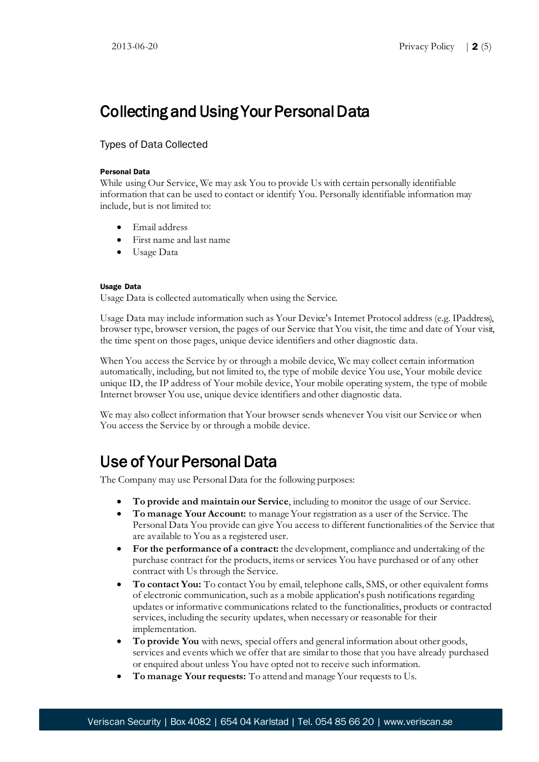## Collecting and Using Your Personal Data

### Types of Data Collected

#### Personal Data

While using Our Service, We may ask You to provide Us with certain personally identifiable information that can be used to contact or identify You. Personally identifiable information may include, but is not limited to:

- Email address
- First name and last name
- Usage Data

#### Usage Data

Usage Data is collected automatically when using the Service.

Usage Data may include information such as Your Device's Internet Protocol address (e.g. IPaddress), browser type, browser version, the pages of our Service that You visit, the time and date of Your visit, the time spent on those pages, unique device identifiers and other diagnostic data.

When You access the Service by or through a mobile device, We may collect certain information automatically, including, but not limited to, the type of mobile device You use, Your mobile device unique ID, the IP address of Your mobile device, Your mobile operating system, the type of mobile Internet browser You use, unique device identifiers and other diagnostic data.

We may also collect information that Your browser sends whenever You visit our Service or when You access the Service by or through a mobile device.

### Use of Your Personal Data

The Company may use Personal Data for the following purposes:

- **To provide and maintain our Service**, including to monitor the usage of our Service.
- **To manage Your Account:** to manage Your registration as a user of the Service. The Personal Data You provide can give You access to different functionalities of the Service that are available to You as a registered user.
- **For the performance of a contract:** the development, compliance and undertaking of the purchase contract for the products, items or services You have purchased or of any other contract with Us through the Service.
- **To contact You:** To contact You by email, telephone calls, SMS, or other equivalent forms of electronic communication, such as a mobile application's push notifications regarding updates or informative communications related to the functionalities, products or contracted services, including the security updates, when necessary or reasonable for their implementation.
- **To provide You** with news, special offers and general information about other goods, services and events which we offer that are similar to those that you have already purchased or enquired about unless You have opted not to receive such information.
- **To manage Your requests:** To attend and manage Your requests to Us.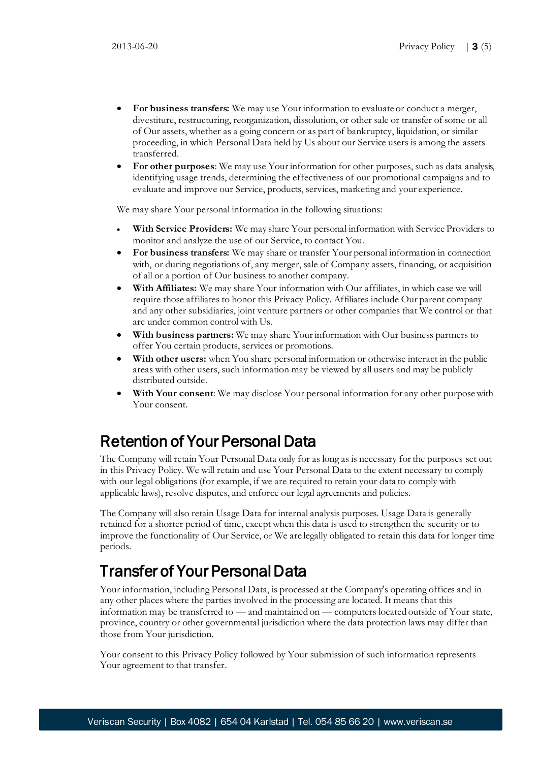- **For business transfers:** We may use Your information to evaluate or conduct a merger, divestiture, restructuring, reorganization, dissolution, or other sale or transfer of some or all of Our assets, whether as a going concern or as part of bankruptcy, liquidation, or similar proceeding, in which Personal Data held by Us about our Service users is among the assets transferred.
- **For other purposes**: We may use Your information for other purposes, such as data analysis, identifying usage trends, determining the effectiveness of our promotional campaigns and to evaluate and improve our Service, products, services, marketing and your experience.

We may share Your personal information in the following situations:

- **With Service Providers:** We may share Your personal information with Service Providers to monitor and analyze the use of our Service, to contact You.
- **For business transfers:** We may share or transfer Your personal information in connection with, or during negotiations of, any merger, sale of Company assets, financing, or acquisition of all or a portion of Our business to another company.
- **With Affiliates:** We may share Your information with Our affiliates, in which case we will require those affiliates to honor this Privacy Policy. Affiliates include Our parent company and any other subsidiaries, joint venture partners or other companies that We control or that are under common control with Us.
- **With business partners:** We may share Your information with Our business partners to offer You certain products, services or promotions.
- **With other users:** when You share personal information or otherwise interact in the public areas with other users, such information may be viewed by all users and may be publicly distributed outside.
- **With Your consent:** We may disclose Your personal information for any other purpose with Your consent.

### Retention of Your Personal Data

The Company will retain Your Personal Data only for as long as is necessary for the purposes set out in this Privacy Policy. We will retain and use Your Personal Data to the extent necessary to comply with our legal obligations (for example, if we are required to retain your data to comply with applicable laws), resolve disputes, and enforce our legal agreements and policies.

The Company will also retain Usage Data for internal analysis purposes. Usage Data is generally retained for a shorter period of time, except when this data is used to strengthen the security or to improve the functionality of Our Service, or We are legally obligated to retain this data for longer time periods.

## Transfer of Your Personal Data

Your information, including Personal Data, is processed at the Company's operating offices and in any other places where the parties involved in the processing are located. It means that this information may be transferred to — and maintained on — computers located outside of Your state, province, country or other governmental jurisdiction where the data protection laws may differ than those from Your jurisdiction.

Your consent to this Privacy Policy followed by Your submission of such information represents Your agreement to that transfer.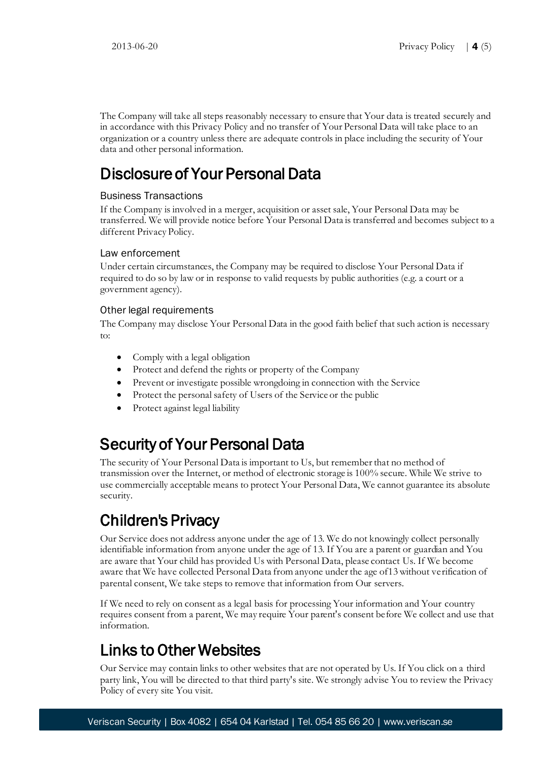The Company will take all steps reasonably necessary to ensure that Your data is treated securely and in accordance with this Privacy Policy and no transfer of Your Personal Data will take place to an organization or a country unless there are adequate controls in place including the security of Your data and other personal information.

# Disclosure of Your Personal Data

### Business Transactions

If the Company is involved in a merger, acquisition or asset sale, Your Personal Data may be transferred. We will provide notice before Your Personal Data is transferred and becomes subject to a different Privacy Policy.

### Law enforcement

Under certain circumstances, the Company may be required to disclose Your Personal Data if required to do so by law or in response to valid requests by public authorities (e.g. a court or a government agency).

### Other legal requirements

The Company may disclose Your Personal Data in the good faith belief that such action is necessary to:

- Comply with a legal obligation
- Protect and defend the rights or property of the Company
- Prevent or investigate possible wrongdoing in connection with the Service
- Protect the personal safety of Users of the Service or the public
- Protect against legal liability

# Security of Your Personal Data

The security of Your Personal Data is important to Us, but remember that no method of transmission over the Internet, or method of electronic storage is 100% secure. While We strive to use commercially acceptable means to protect Your Personal Data, We cannot guarantee its absolute security.

# Children's Privacy

Our Service does not address anyone under the age of 13. We do not knowingly collect personally identifiable information from anyone under the age of 13. If You are a parent or guardian and You are aware that Your child has provided Us with Personal Data, please contact Us. If We become aware that We have collected Personal Data from anyone under the age of13 without verification of parental consent, We take steps to remove that information from Our servers.

If We need to rely on consent as a legal basis for processing Your information and Your country requires consent from a parent, We may require Your parent's consent before We collect and use that information.

# Links to Other Websites

Our Service may contain links to other websites that are not operated by Us. If You click on a third party link, You will be directed to that third party's site. We strongly advise You to review the Privacy Policy of every site You visit.